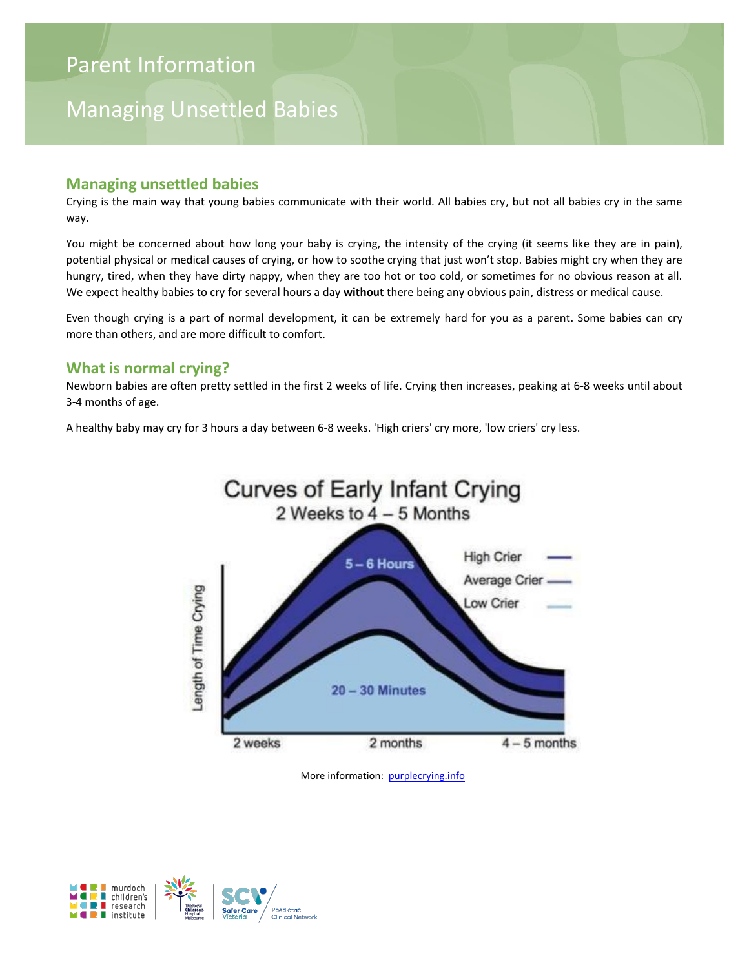# Managing Unsettled Babies

#### **Managing unsettled babies**

Crying is the main way that young babies communicate with their world. All babies cry, but not all babies cry in the same way.

You might be concerned about how long your baby is crying, the intensity of the crying (it seems like they are in pain), potential physical or medical causes of crying, or how to soothe crying that just won't stop. Babies might cry when they are hungry, tired, when they have dirty nappy, when they are too hot or too cold, or sometimes for no obvious reason at all. We expect healthy babies to cry for several hours a day **without** there being any obvious pain, distress or medical cause.

Even though crying is a part of normal development, it can be extremely hard for you as a parent. Some babies can cry more than others, and are more difficult to comfort.

#### **What is normal crying?**

Newborn babies are often pretty settled in the first 2 weeks of life. Crying then increases, peaking at 6-8 weeks until about 3-4 months of age.

A healthy baby may cry for 3 hours a day between 6-8 weeks. 'High criers' cry more, 'low criers' cry less.



More information: purplecrying.info

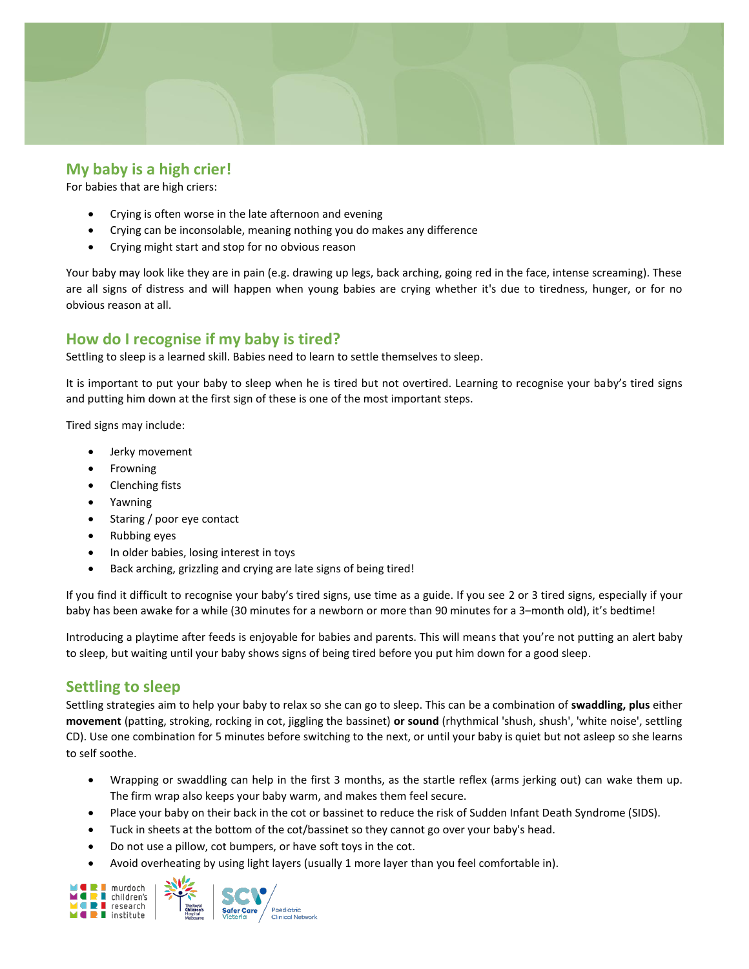

#### **My baby is a high crier!**

For babies that are high criers:

- Crying is often worse in the late afternoon and evening
- Crying can be inconsolable, meaning nothing you do makes any difference
- Crying might start and stop for no obvious reason

Your baby may look like they are in pain (e.g. drawing up legs, back arching, going red in the face, intense screaming). These are all signs of distress and will happen when young babies are crying whether it's due to tiredness, hunger, or for no obvious reason at all.

#### **How do I recognise if my baby is tired?**

Settling to sleep is a learned skill. Babies need to learn to settle themselves to sleep.

It is important to put your baby to sleep when he is tired but not overtired. Learning to recognise your baby's tired signs and putting him down at the first sign of these is one of the most important steps.

Tired signs may include:

- Jerky movement
- Frowning
- Clenching fists
- Yawning
- Staring / poor eye contact
- Rubbing eyes
- In older babies, losing interest in toys
- Back arching, grizzling and crying are late signs of being tired!

If you find it difficult to recognise your baby's tired signs, use time as a guide. If you see 2 or 3 tired signs, especially if your baby has been awake for a while (30 minutes for a newborn or more than 90 minutes for a 3–month old), it's bedtime!

Introducing a playtime after feeds is enjoyable for babies and parents. This will means that you're not putting an alert baby to sleep, but waiting until your baby shows signs of being tired before you put him down for a good sleep.

#### **Settling to sleep**

Settling strategies aim to help your baby to relax so she can go to sleep. This can be a combination of **swaddling, plus** either **movement** (patting, stroking, rocking in cot, jiggling the bassinet) **or sound** (rhythmical 'shush, shush', 'white noise', settling CD). Use one combination for 5 minutes before switching to the next, or until your baby is quiet but not asleep so she learns to self soothe.

- Wrapping or swaddling can help in the first 3 months, as the startle reflex (arms jerking out) can wake them up. The firm wrap also keeps your baby warm, and makes them feel secure.
- Place your baby on their back in the cot or bassinet to reduce the risk of Sudden Infant Death Syndrome (SIDS).
- Tuck in sheets at the bottom of the cot/bassinet so they cannot go over your baby's head.
- Do not use a pillow, cot bumpers, or have soft toys in the cot.
- Avoid overheating by using light layers (usually 1 more layer than you feel comfortable in).

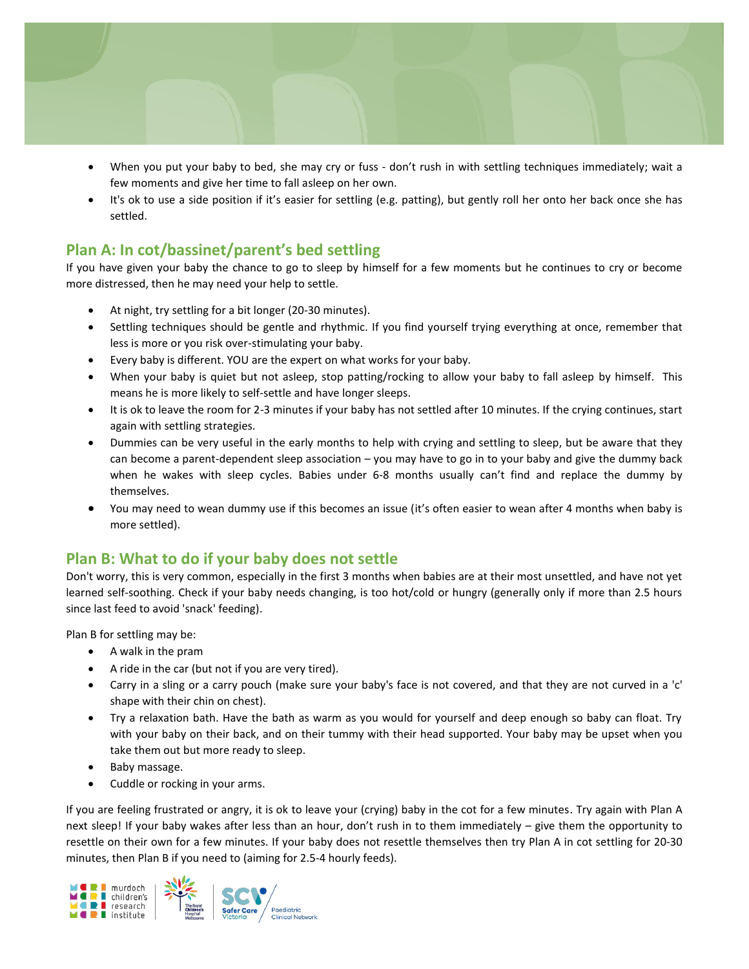

- When you put your baby to bed, she may cry or fuss don't rush in with settling techniques immediately; wait a few moments and give her time to fall asleep on her own.
- It's ok to use a side position if it's easier for settling (e.g. patting), but gently roll her onto her back once she has settled.

## **Plan A: In cot/bassinet/parent's bed settling**

If you have given your baby the chance to go to sleep by himself for a few moments but he continues to cry or become more distressed, then he may need your help to settle.

- At night, try settling for a bit longer (20-30 minutes).
- Settling techniques should be gentle and rhythmic. If you find yourself trying everything at once, remember that less is more or you risk over-stimulating your baby.
- Every baby is different. YOU are the expert on what works for your baby.
- When your baby is quiet but not asleep, stop patting/rocking to allow your baby to fall asleep by himself. This means he is more likely to self-settle and have longer sleeps.
- It is ok to leave the room for 2-3 minutes if your baby has not settled after 10 minutes. If the crying continues, start again with settling strategies.
- Dummies can be very useful in the early months to help with crying and settling to sleep, but be aware that they can become a parent-dependent sleep association – you may have to go in to your baby and give the dummy back when he wakes with sleep cycles. Babies under 6-8 months usually can't find and replace the dummy by themselves.
- You may need to wean dummy use if this becomes an issue (it's often easier to wean after 4 months when baby is more settled).

## **Plan B: What to do if your baby does not settle**

Don't worry, this is very common, especially in the first 3 months when babies are at their most unsettled, and have not yet learned self-soothing. Check if your baby needs changing, is too hot/cold or hungry (generally only if more than 2.5 hours since last feed to avoid 'snack' feeding).

Plan B for settling may be:

- A walk in the pram
- A ride in the car (but not if you are very tired).
- Carry in a sling or a carry pouch (make sure your baby's face is not covered, and that they are not curved in a 'c' shape with their chin on chest).
- Try a relaxation bath. Have the bath as warm as you would for yourself and deep enough so baby can float. Try with your baby on their back, and on their tummy with their head supported. Your baby may be upset when you take them out but more ready to sleep.
- Baby massage.
- Cuddle or rocking in your arms.

If you are feeling frustrated or angry, it is ok to leave your (crying) baby in the cot for a few minutes. Try again with Plan A next sleep! If your baby wakes after less than an hour, don't rush in to them immediately – give them the opportunity to resettle on their own for a few minutes. If your baby does not resettle themselves then try Plan A in cot settling for 20-30 minutes, then Plan B if you need to (aiming for 2.5-4 hourly feeds).

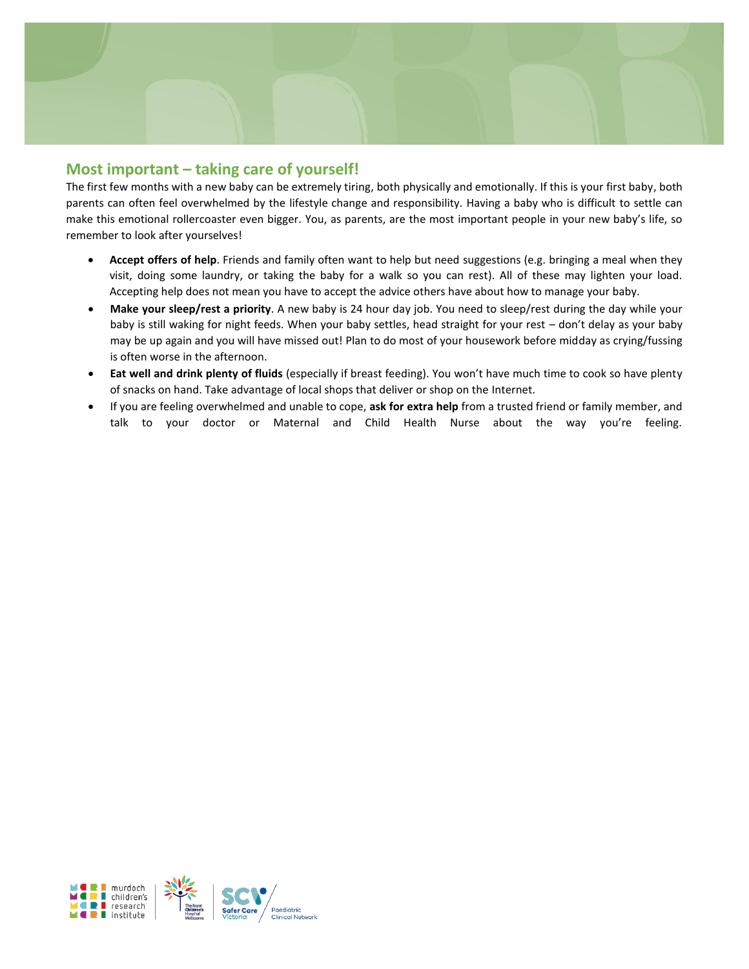

#### **Most important – taking care of yourself!**

The first few months with a new baby can be extremely tiring, both physically and emotionally. If this is your first baby, both parents can often feel overwhelmed by the lifestyle change and responsibility. Having a baby who is difficult to settle can make this emotional rollercoaster even bigger. You, as parents, are the most important people in your new baby's life, so remember to look after yourselves!

- **Accept offers of help**. Friends and family often want to help but need suggestions (e.g. bringing a meal when they visit, doing some laundry, or taking the baby for a walk so you can rest). All of these may lighten your load. Accepting help does not mean you have to accept the advice others have about how to manage your baby.
- **Make your sleep/rest a priority**. A new baby is 24 hour day job. You need to sleep/rest during the day while your baby is still waking for night feeds. When your baby settles, head straight for your rest – don't delay as your baby may be up again and you will have missed out! Plan to do most of your housework before midday as crying/fussing is often worse in the afternoon.
- **Eat well and drink plenty of fluids** (especially if breast feeding). You won't have much time to cook so have plenty of snacks on hand. Take advantage of local shops that deliver or shop on the Internet.
- If you are feeling overwhelmed and unable to cope, **ask for extra help** from a trusted friend or family member, and talk to your doctor or Maternal and Child Health Nurse about the way you're feeling.